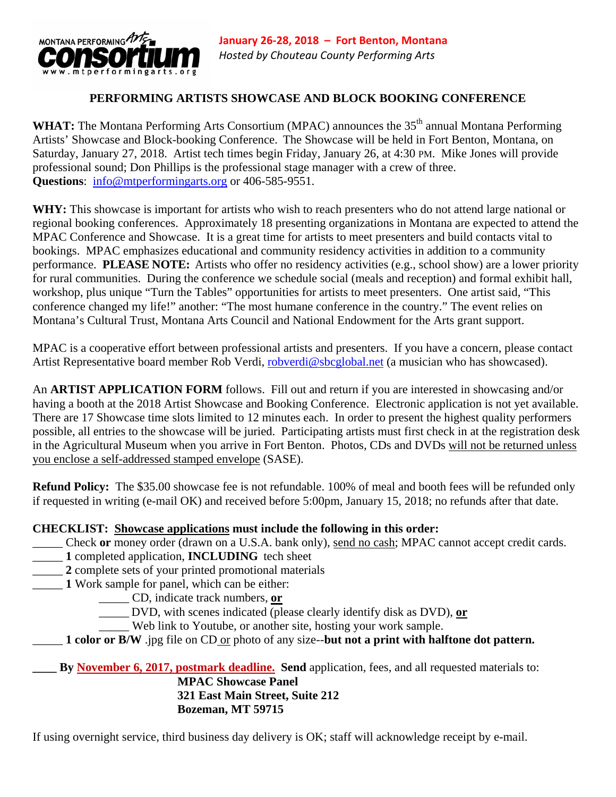

#### **PERFORMING ARTISTS SHOWCASE AND BLOCK BOOKING CONFERENCE**

WHAT: The Montana Performing Arts Consortium (MPAC) announces the 35<sup>th</sup> annual Montana Performing Artists' Showcase and Block-booking Conference. The Showcase will be held in Fort Benton, Montana, on Saturday, January 27, 2018. Artist tech times begin Friday, January 26, at 4:30 PM. Mike Jones will provide professional sound; Don Phillips is the professional stage manager with a crew of three. **Questions**: info@mtperformingarts.org or 406-585-9551.

WHY: This showcase is important for artists who wish to reach presenters who do not attend large national or regional booking conferences. Approximately 18 presenting organizations in Montana are expected to attend the MPAC Conference and Showcase. It is a great time for artists to meet presenters and build contacts vital to bookings. MPAC emphasizes educational and community residency activities in addition to a community performance. **PLEASE NOTE:** Artists who offer no residency activities (e.g., school show) are a lower priority for rural communities. During the conference we schedule social (meals and reception) and formal exhibit hall, workshop, plus unique "Turn the Tables" opportunities for artists to meet presenters. One artist said, "This conference changed my life!" another: "The most humane conference in the country." The event relies on Montana's Cultural Trust, Montana Arts Council and National Endowment for the Arts grant support.

MPAC is a cooperative effort between professional artists and presenters. If you have a concern, please contact Artist Representative board member Rob Verdi, robverdi@sbcglobal.net (a musician who has showcased).

An **ARTIST APPLICATION FORM** follows. Fill out and return if you are interested in showcasing and/or having a booth at the 2018 Artist Showcase and Booking Conference. Electronic application is not yet available. There are 17 Showcase time slots limited to 12 minutes each. In order to present the highest quality performers possible, all entries to the showcase will be juried. Participating artists must first check in at the registration desk in the Agricultural Museum when you arrive in Fort Benton. Photos, CDs and DVDs will not be returned unless you enclose a self-addressed stamped envelope (SASE).

**Refund Policy:** The \$35.00 showcase fee is not refundable. 100% of meal and booth fees will be refunded only if requested in writing (e-mail OK) and received before 5:00pm, January 15, 2018; no refunds after that date.

#### **CHECKLIST: Showcase applications must include the following in this order:**

- \_\_\_\_\_ Check **or** money order (drawn on a U.S.A. bank only), send no cash; MPAC cannot accept credit cards.
- \_\_\_\_\_ **1** completed application, **INCLUDING** tech sheet
- 2 complete sets of your printed promotional materials
- 1 Work sample for panel, which can be either:

\_\_\_\_\_ CD, indicate track numbers, **or**

\_\_\_\_\_ DVD, with scenes indicated (please clearly identify disk as DVD), **or**

- \_\_\_\_\_ Web link to Youtube, or another site, hosting your work sample.
- \_\_\_\_\_ **1 color or B/W** .jpg file on CD or photo of any size--**but not a print with halftone dot pattern.**

**\_\_\_\_ By November 6, 2017, postmark deadline. Send** application, fees, and all requested materials to: **MPAC Showcase Panel 321 East Main Street, Suite 212 Bozeman, MT 59715** 

If using overnight service, third business day delivery is OK; staff will acknowledge receipt by e-mail.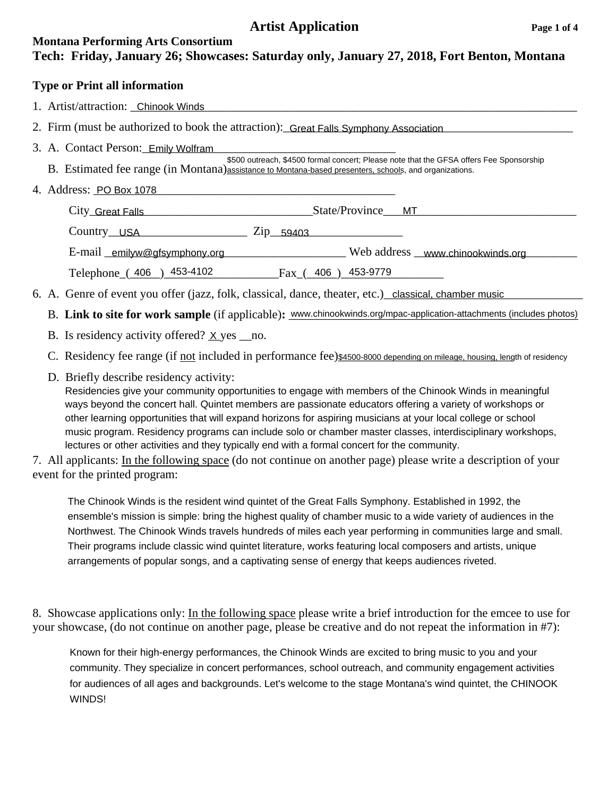## **Artist Application** Page 1 of 4

## **Montana Performing Arts Consortium Tech: Friday, January 26; Showcases: Saturday only, January 27, 2018, Fort Benton, Montana**

#### **Type or Print all information**

- 1. Artist/attraction: Chinook Winds **Chinook Winds Channel Communist Communist Communist Communist Communist Communist Communist Communist Communist Communist Communist Communist Communist Communist Communist Communist C**
- 2. Firm (must be authorized to book the attraction): Great Falls Symphony Association
- 3. A. Contact Person: Emily Wolfram
- B. Estimated fee range (in Montana) assistance to Montana-based presenters, schools, and organizations. \$500 outreach, \$4500 formal concert; Please note that the GFSA offers Fee Sponsorship
- 4. Address: <u>PO Box 1078</u>

 City\_\_\_\_\_\_\_\_\_\_\_\_\_\_\_\_\_\_\_\_\_\_\_\_\_\_\_\_\_\_\_\_\_\_\_\_\_State/Province\_\_\_\_\_\_\_\_\_\_\_\_\_\_\_\_\_\_\_\_\_\_\_\_\_\_\_\_\_\_\_\_ Great Falls MT Country USA 2ip 59403

E-mail emilyw@gfsymphony.org Web address www.chinookwinds.org 2014 Telephone ( $406$ )  $453-4102$  Fax ( $406$ )  $453-9779$ 

- Telephone  $(406)$   $453-4102$  Fax $(406)$   $453-9779$ <br>6. A. Genre of event you offer (jazz, folk, classical, dance, theater, etc.) classical, chamber music
- B. Link to site for work sample (if applicable): www.chinookwinds.org/mpac-application-attachments (includes photos)
- B. Is residency activity offered?  $\times$  yes \_no.
- C. Residency fee range (if not included in performance fee)\$4500-8000 depending on mileage, housing, length of residency
	- D. Briefly describe residency activity: Residencies give your community opportunities to engage with members of the Chinook Winds in meaningful

ways beyond the concert hall. Quintet members are passionate educators offering a variety of workshops or other learning opportunities that will expand horizons for aspiring musicians at your local college or school music program. Residency programs can include solo or chamber master classes, interdisciplinary workshops, lectures or other activities and they typically end with a formal concert for the community.

7. All applicants: In the following space (do not continue on another page) please write a description of your event for the printed program:

The Chinook Winds is the resident wind quintet of the Great Falls Symphony. Established in 1992, the ensemble's mission is simple: bring the highest quality of chamber music to a wide variety of audiences in the Northwest. The Chinook Winds travels hundreds of miles each year performing in communities large and small. Their programs include classic wind quintet literature, works featuring local composers and artists, unique arrangements of popular songs, and a captivating sense of energy that keeps audiences riveted.

8. Showcase applications only: In the following space please write a brief introduction for the emcee to use for your showcase, (do not continue on another page, please be creative and do not repeat the information in #7):

Known for their high-energy performances, the Chinook Winds are excited to bring music to you and your community. They specialize in concert performances, school outreach, and community engagement activities for audiences of all ages and backgrounds. Let's welcome to the stage Montana's wind quintet, the CHINOOK WINDS!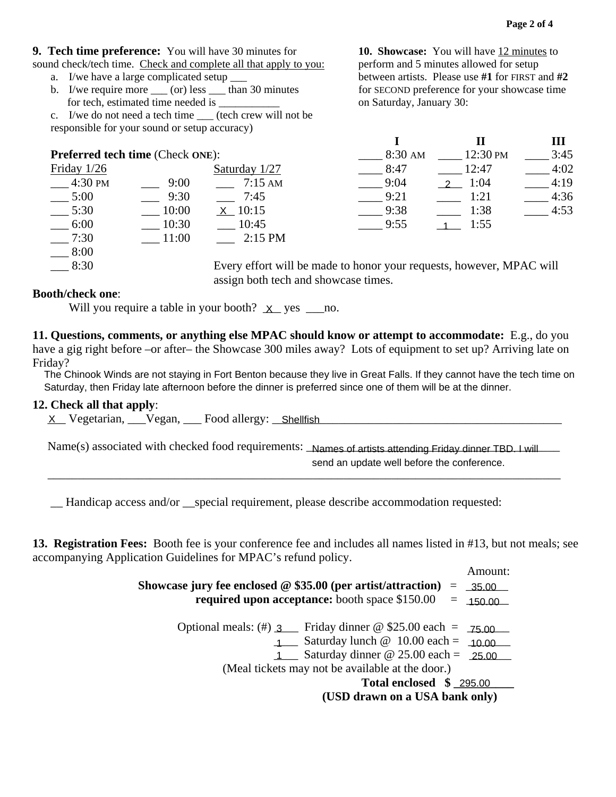### **9. Tech time preference:** You will have 30 minutes for **10. Showcase:** You will have 12 minutes to

- sound check/tech time. Check and complete all that apply to you: perform and 5 minutes allowed for setup a. I/we have a large complicated setup \_\_\_ between artists. Please use **#1** for FIRST and **#2**
	- b. I/we require more (or) less than 30 minutes for SECOND preference for your showcase time for tech, estimated time needed is  $\qquad \qquad$  on Saturday, January 30:

c. I/we do not need a tech time \_\_\_ (tech crew will not be responsible for your sound or setup accuracy)

 $-$  7:30 \_\_\_ 8:00

|                                         |       |                   |           |          | Ш    |
|-----------------------------------------|-------|-------------------|-----------|----------|------|
| <b>Preferred tech time (Check ONE):</b> |       |                   | $8:30$ AM | 12:30 PM | 3:45 |
| Friday $1/26$                           |       | Saturday 1/27     | 8:47      | 12:47    | 4:02 |
| 4:30 PM                                 | 9:00  | $7:15 \text{ AM}$ | 9:04      | 1:04     | 4:19 |
| 5:00                                    | 9:30  | 7:45              | 9:21      | 1:21     | 4:36 |
| 5:30                                    | 10:00 | $X$ 10:15         | 9:38      | 1:38     | 4:53 |
| 6:00                                    | 10:30 | 10:45             | 9:55      | 1:55     |      |
| 7:30                                    | 11:00 | $2:15$ PM         |           |          |      |

 \_\_\_ 8:30 Every effort will be made to honor your requests, however, MPAC will assign both tech and showcase times.

#### **Booth/check one**:

**11. Questions, comments, or anything else MPAC should know or attempt to accommodate:** E.g., do you have a gig right before –or after– the Showcase 300 miles away? Lots of equipment to set up? Arriving late on Friday?

The Chinook Winds are not staying in Fort Benton because they live in Great Falls. If they cannot have the tech time on Saturday, then Friday late afternoon before the dinner is preferred since one of them will be at the dinner.

#### **12. Check all that apply**:

Name(s) associated with checked food requirements: Names of artists attending Friday dinner TBD. I will  $\overline{\phantom{a}}$  , and the contribution of the contribution of the contribution of the contribution of the contribution of the contribution of the contribution of the contribution of the contribution of the contribution of the <u>X Vegetarian, Vegan, Food allergy: Shellfish<br>Name(s) associated with checked food requirements: Names of artists attending Friday dinner TB<br>send an update well before the conference.</u>

**13. Registration Fees:** Booth fee is your conference fee and includes all names listed in #13, but not meals; see accompanying Application Guidelines for MPAC's refund policy.

| $-5:30$                   | $-10:00$ | $X_{10:15}$                                                                                                  | $-9:38$                                          | 1:38                                |
|---------------------------|----------|--------------------------------------------------------------------------------------------------------------|--------------------------------------------------|-------------------------------------|
| $-6:00$                   | $-10:30$ | $-10:45$                                                                                                     | 9:55                                             | 1:55<br>$\overline{1}$              |
| $-7:30$                   | $-11:00$ | $2:15$ PM                                                                                                    |                                                  |                                     |
| 8:00                      |          |                                                                                                              |                                                  |                                     |
| $-8:30$                   |          | Every effort will be made to honor your requests, however, MI                                                |                                                  |                                     |
|                           |          | assign both tech and showcase times.                                                                         |                                                  |                                     |
| <b>Booth/check one:</b>   |          |                                                                                                              |                                                  |                                     |
|                           |          | Will you require a table in your booth? $X$ yes _________no.                                                 |                                                  |                                     |
|                           |          | 11. Questions, comments, or anything else MPAC should know or attempt to accommodate: E                      |                                                  |                                     |
|                           |          | have a gig right before –or after– the Showcase 300 miles away? Lots of equipment to set up? Arriv           |                                                  |                                     |
| Friday?                   |          |                                                                                                              |                                                  |                                     |
|                           |          | The Chinook Winds are not staying in Fort Benton because they live in Great Falls. If they cannot have the   |                                                  |                                     |
|                           |          | Saturday, then Friday late afternoon before the dinner is preferred since one of them will be at the dinner. |                                                  |                                     |
| 12. Check all that apply: |          |                                                                                                              |                                                  |                                     |
|                           |          | X Vegetarian, Vegan, Food allergy: Shellfish                                                                 |                                                  |                                     |
|                           |          |                                                                                                              |                                                  |                                     |
|                           |          | Name(s) associated with checked food requirements: _Names of artists attending Friday dinner TBD.            |                                                  |                                     |
|                           |          |                                                                                                              | send an update well before the conference.       |                                     |
|                           |          |                                                                                                              |                                                  |                                     |
|                           |          | Handicap access and/or __special requirement, please describe accommodation requested:                       |                                                  |                                     |
|                           |          |                                                                                                              |                                                  |                                     |
|                           |          | 13. Registration Fees: Booth fee is your conference fee and includes all names listed in #13, but no         |                                                  |                                     |
|                           |          | accompanying Application Guidelines for MPAC's refund policy.                                                |                                                  |                                     |
|                           |          |                                                                                                              |                                                  | Amount:                             |
|                           |          | Showcase jury fee enclosed @ \$35.00 (per artist/attraction)                                                 |                                                  | $\qquad \qquad =\qquad$<br>$-35.00$ |
|                           |          | required upon acceptance: booth space \$150.00                                                               |                                                  | $\qquad \qquad =\qquad$<br>150.00   |
|                           |          |                                                                                                              |                                                  |                                     |
|                           |          | Optional meals: (#) $3 \text{$ Friday dinner @ \$25.00 each =                                                |                                                  | 75.00                               |
|                           |          |                                                                                                              | $1$ Saturday lunch @ 10.00 each =                | 10.00                               |
|                           |          |                                                                                                              | $1$ Saturday dinner @ 25.00 each =               | 25.00                               |
|                           |          |                                                                                                              | (Meal tickets may not be available at the door.) |                                     |
|                           |          |                                                                                                              |                                                  | Total enclosed \$ 295.00            |
|                           |          |                                                                                                              | (USD drawn on a USA bank only)                   |                                     |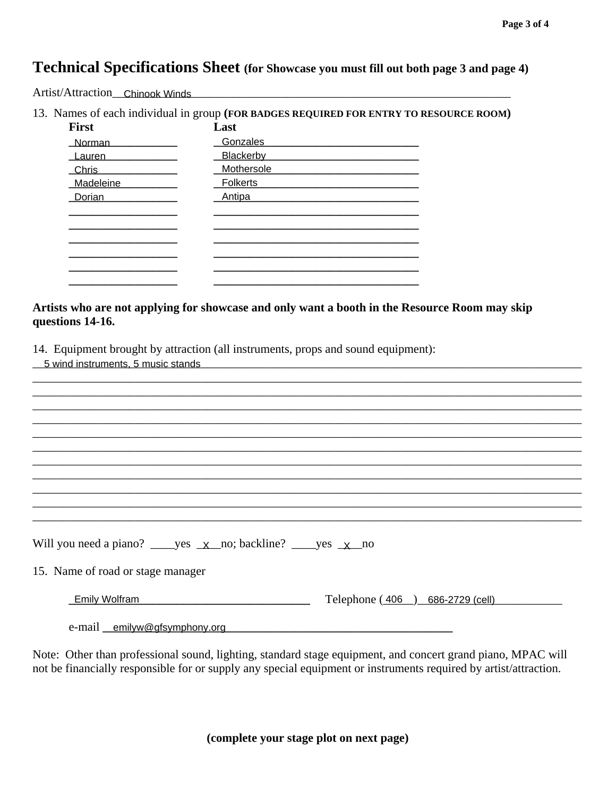## **Technical Specifications Sheet** (for Showcase you must fill out both page 3 and page 4)

Artist/Attraction\_ Chinook Winds\_

13. Names of each individual in group (FOR BADGES REQUIRED FOR ENTRY TO RESOURCE ROOM)

| <b>First</b>  | Last             |
|---------------|------------------|
| <b>Norman</b> | Gonzales         |
| Lauren        | <b>Blackerby</b> |
| <b>Chris</b>  | Mothersole       |
| Madeleine     | Folkerts         |
| Dorian        | Antipa           |
|               |                  |
|               |                  |
|               |                  |
|               |                  |
|               |                  |
|               |                  |

Artists who are not applying for showcase and only want a booth in the Resource Room may skip questions 14-16.

14. Equipment brought by attraction (all instruments, props and sound equipment):

| 5 wind instruments, 5 music stands                                                  |  |
|-------------------------------------------------------------------------------------|--|
|                                                                                     |  |
|                                                                                     |  |
|                                                                                     |  |
|                                                                                     |  |
|                                                                                     |  |
|                                                                                     |  |
|                                                                                     |  |
|                                                                                     |  |
|                                                                                     |  |
|                                                                                     |  |
|                                                                                     |  |
|                                                                                     |  |
| Will you need a piano? ______ yes $\angle x$ no; backline? ______ yes $\angle x$ no |  |
|                                                                                     |  |
| 15. Name of road or stage manager                                                   |  |
|                                                                                     |  |
| Telephone $(406)$<br><b>Emily Wolfram</b><br>686-2729 (cell)                        |  |
|                                                                                     |  |
| e-mail emilyw@gfsymphony.org                                                        |  |

Note: Other than professional sound, lighting, standard stage equipment, and concert grand piano, MPAC will not be financially responsible for or supply any special equipment or instruments required by artist/attraction.